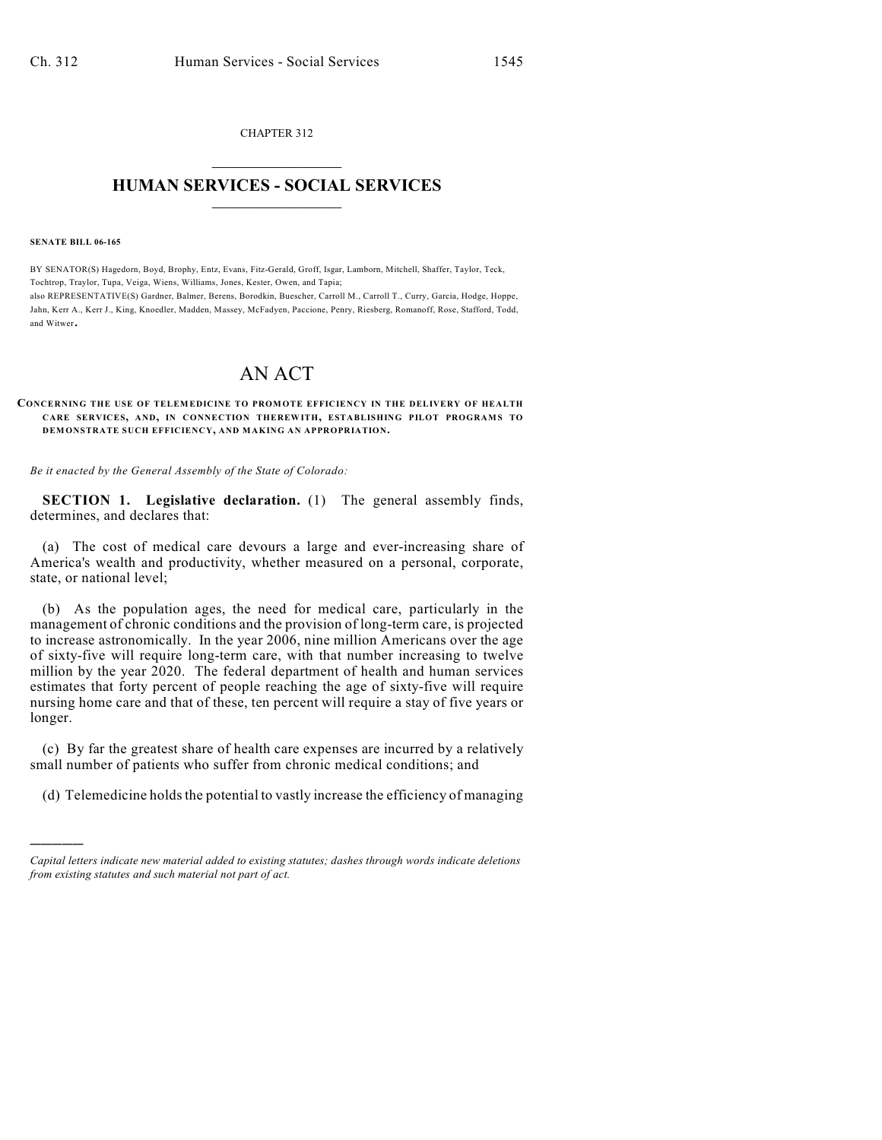CHAPTER 312  $\mathcal{L}_\text{max}$  . The set of the set of the set of the set of the set of the set of the set of the set of the set of the set of the set of the set of the set of the set of the set of the set of the set of the set of the set

## **HUMAN SERVICES - SOCIAL SERVICES**  $\frac{1}{2}$  ,  $\frac{1}{2}$  ,  $\frac{1}{2}$  ,  $\frac{1}{2}$  ,  $\frac{1}{2}$  ,  $\frac{1}{2}$  ,  $\frac{1}{2}$

**SENATE BILL 06-165**

)))))

BY SENATOR(S) Hagedorn, Boyd, Brophy, Entz, Evans, Fitz-Gerald, Groff, Isgar, Lamborn, Mitchell, Shaffer, Taylor, Teck, Tochtrop, Traylor, Tupa, Veiga, Wiens, Williams, Jones, Kester, Owen, and Tapia; also REPRESENTATIVE(S) Gardner, Balmer, Berens, Borodkin, Buescher, Carroll M., Carroll T., Curry, Garcia, Hodge, Hoppe, Jahn, Kerr A., Kerr J., King, Knoedler, Madden, Massey, McFadyen, Paccione, Penry, Riesberg, Romanoff, Rose, Stafford, Todd, and Witwer.

## AN ACT

## **CONCERNING THE USE OF TELEMEDICINE TO PROMOTE EFFICIENCY IN THE DELIVERY OF HEALTH CARE SERVICES, AND, IN CONNECTION THEREWITH, ESTABLISHING PILOT PROGRAMS TO DEMONSTRATE SUCH EFFICIENCY, AND MAKING AN APPROPRIATION.**

*Be it enacted by the General Assembly of the State of Colorado:*

**SECTION 1. Legislative declaration.** (1) The general assembly finds, determines, and declares that:

(a) The cost of medical care devours a large and ever-increasing share of America's wealth and productivity, whether measured on a personal, corporate, state, or national level;

(b) As the population ages, the need for medical care, particularly in the management of chronic conditions and the provision of long-term care, is projected to increase astronomically. In the year 2006, nine million Americans over the age of sixty-five will require long-term care, with that number increasing to twelve million by the year 2020. The federal department of health and human services estimates that forty percent of people reaching the age of sixty-five will require nursing home care and that of these, ten percent will require a stay of five years or longer.

(c) By far the greatest share of health care expenses are incurred by a relatively small number of patients who suffer from chronic medical conditions; and

(d) Telemedicine holds the potential to vastly increase the efficiency of managing

*Capital letters indicate new material added to existing statutes; dashes through words indicate deletions from existing statutes and such material not part of act.*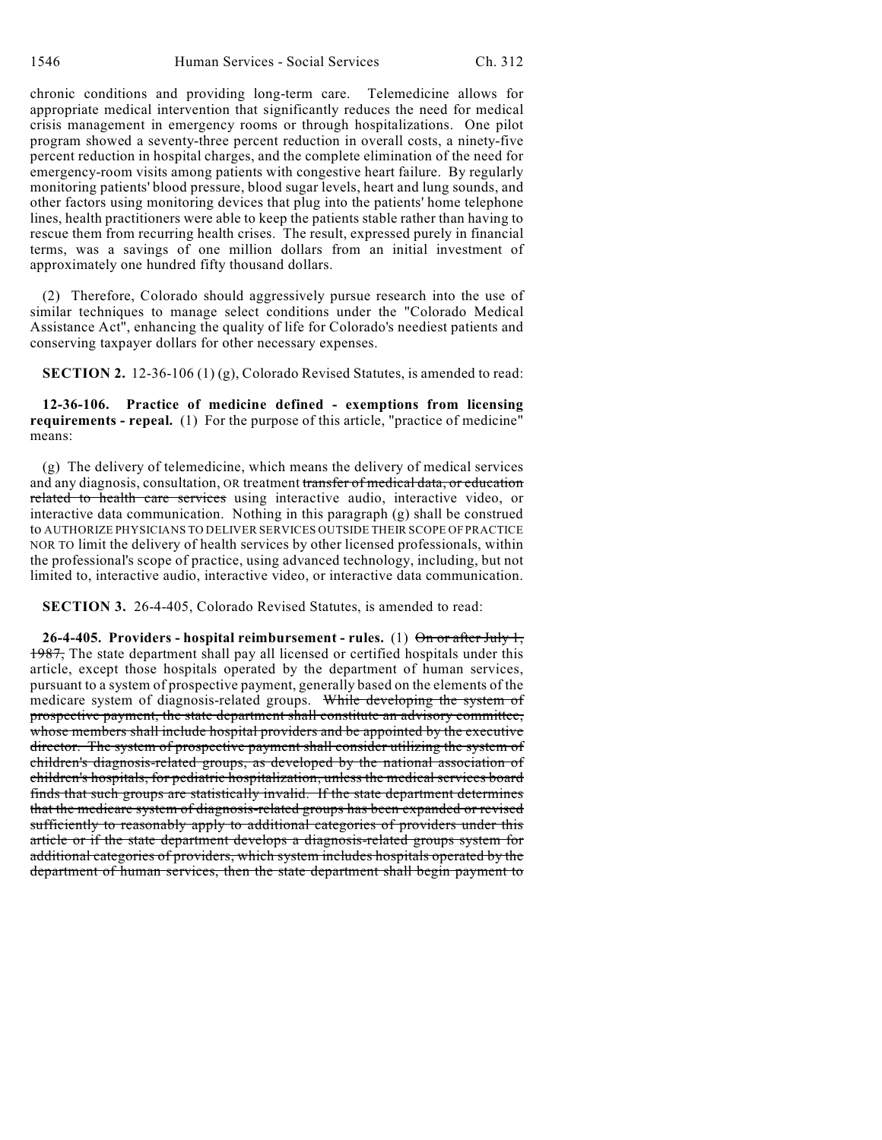chronic conditions and providing long-term care. Telemedicine allows for appropriate medical intervention that significantly reduces the need for medical crisis management in emergency rooms or through hospitalizations. One pilot program showed a seventy-three percent reduction in overall costs, a ninety-five percent reduction in hospital charges, and the complete elimination of the need for emergency-room visits among patients with congestive heart failure. By regularly monitoring patients' blood pressure, blood sugar levels, heart and lung sounds, and other factors using monitoring devices that plug into the patients' home telephone lines, health practitioners were able to keep the patients stable rather than having to rescue them from recurring health crises. The result, expressed purely in financial terms, was a savings of one million dollars from an initial investment of approximately one hundred fifty thousand dollars.

(2) Therefore, Colorado should aggressively pursue research into the use of similar techniques to manage select conditions under the "Colorado Medical Assistance Act", enhancing the quality of life for Colorado's neediest patients and conserving taxpayer dollars for other necessary expenses.

**SECTION 2.** 12-36-106 (1) (g), Colorado Revised Statutes, is amended to read:

**12-36-106. Practice of medicine defined - exemptions from licensing requirements - repeal.** (1) For the purpose of this article, "practice of medicine" means:

(g) The delivery of telemedicine, which means the delivery of medical services and any diagnosis, consultation, OR treatment transfer of medical data, or education related to health care services using interactive audio, interactive video, or interactive data communication. Nothing in this paragraph (g) shall be construed to AUTHORIZE PHYSICIANS TO DELIVER SERVICES OUTSIDE THEIR SCOPE OF PRACTICE NOR TO limit the delivery of health services by other licensed professionals, within the professional's scope of practice, using advanced technology, including, but not limited to, interactive audio, interactive video, or interactive data communication.

**SECTION 3.** 26-4-405, Colorado Revised Statutes, is amended to read:

**26-4-405. Providers - hospital reimbursement - rules.** (1) On or after July 1, 1987, The state department shall pay all licensed or certified hospitals under this article, except those hospitals operated by the department of human services, pursuant to a system of prospective payment, generally based on the elements of the medicare system of diagnosis-related groups. While developing the system of prospective payment, the state department shall constitute an advisory committee, whose members shall include hospital providers and be appointed by the executive director. The system of prospective payment shall consider utilizing the system of children's diagnosis-related groups, as developed by the national association of children's hospitals, for pediatric hospitalization, unless the medical services board finds that such groups are statistically invalid. If the state department determines that the medicare system of diagnosis-related groups has been expanded or revised sufficiently to reasonably apply to additional categories of providers under this article or if the state department develops a diagnosis-related groups system for additional categories of providers, which system includes hospitals operated by the department of human services, then the state department shall begin payment to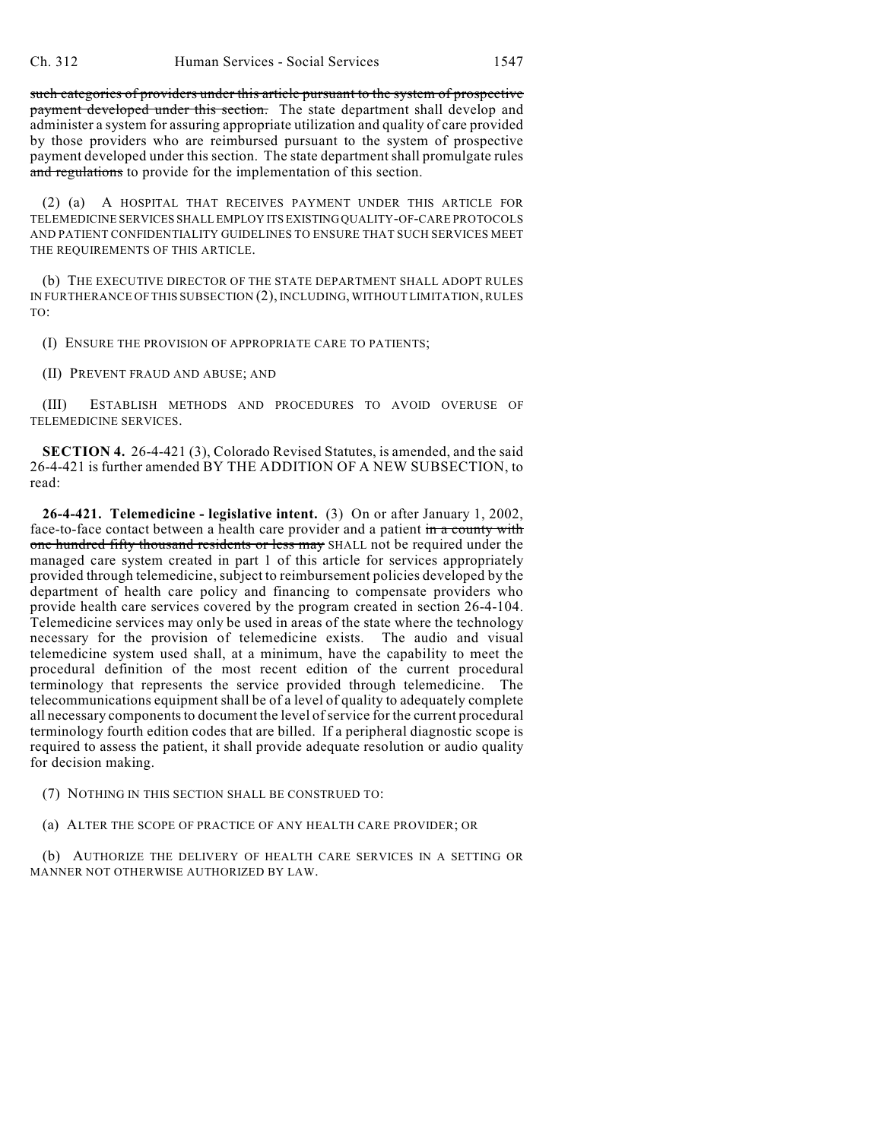such categories of providers under this article pursuant to the system of prospective payment developed under this section. The state department shall develop and administer a system for assuring appropriate utilization and quality of care provided by those providers who are reimbursed pursuant to the system of prospective payment developed under this section. The state department shall promulgate rules and regulations to provide for the implementation of this section.

(2) (a) A HOSPITAL THAT RECEIVES PAYMENT UNDER THIS ARTICLE FOR TELEMEDICINE SERVICES SHALL EMPLOY ITS EXISTING QUALITY-OF-CARE PROTOCOLS AND PATIENT CONFIDENTIALITY GUIDELINES TO ENSURE THAT SUCH SERVICES MEET THE REQUIREMENTS OF THIS ARTICLE.

(b) THE EXECUTIVE DIRECTOR OF THE STATE DEPARTMENT SHALL ADOPT RULES IN FURTHERANCE OFTHIS SUBSECTION (2), INCLUDING, WITHOUT LIMITATION, RULES TO:

(I) ENSURE THE PROVISION OF APPROPRIATE CARE TO PATIENTS;

(II) PREVENT FRAUD AND ABUSE; AND

(III) ESTABLISH METHODS AND PROCEDURES TO AVOID OVERUSE OF TELEMEDICINE SERVICES.

**SECTION 4.** 26-4-421 (3), Colorado Revised Statutes, is amended, and the said 26-4-421 is further amended BY THE ADDITION OF A NEW SUBSECTION, to read:

**26-4-421. Telemedicine - legislative intent.** (3) On or after January 1, 2002, face-to-face contact between a health care provider and a patient in a county with one hundred fifty thousand residents or less may SHALL not be required under the managed care system created in part 1 of this article for services appropriately provided through telemedicine, subject to reimbursement policies developed by the department of health care policy and financing to compensate providers who provide health care services covered by the program created in section 26-4-104. Telemedicine services may only be used in areas of the state where the technology necessary for the provision of telemedicine exists. The audio and visual telemedicine system used shall, at a minimum, have the capability to meet the procedural definition of the most recent edition of the current procedural terminology that represents the service provided through telemedicine. The telecommunications equipment shall be of a level of quality to adequately complete all necessary components to document the level of service for the current procedural terminology fourth edition codes that are billed. If a peripheral diagnostic scope is required to assess the patient, it shall provide adequate resolution or audio quality for decision making.

(7) NOTHING IN THIS SECTION SHALL BE CONSTRUED TO:

(a) ALTER THE SCOPE OF PRACTICE OF ANY HEALTH CARE PROVIDER; OR

(b) AUTHORIZE THE DELIVERY OF HEALTH CARE SERVICES IN A SETTING OR MANNER NOT OTHERWISE AUTHORIZED BY LAW.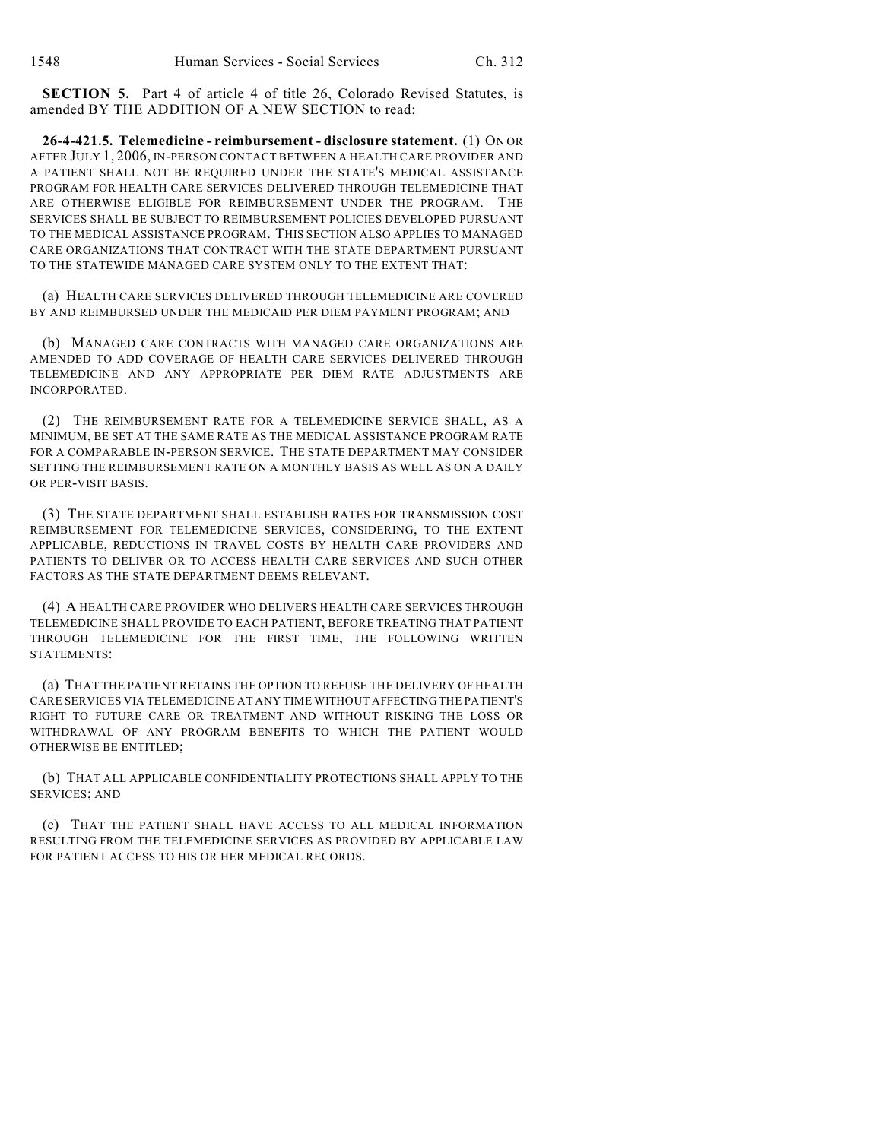**SECTION 5.** Part 4 of article 4 of title 26, Colorado Revised Statutes, is amended BY THE ADDITION OF A NEW SECTION to read:

**26-4-421.5. Telemedicine - reimbursement - disclosure statement.** (1) ON OR AFTER JULY 1, 2006, IN-PERSON CONTACT BETWEEN A HEALTH CARE PROVIDER AND A PATIENT SHALL NOT BE REQUIRED UNDER THE STATE'S MEDICAL ASSISTANCE PROGRAM FOR HEALTH CARE SERVICES DELIVERED THROUGH TELEMEDICINE THAT ARE OTHERWISE ELIGIBLE FOR REIMBURSEMENT UNDER THE PROGRAM. THE SERVICES SHALL BE SUBJECT TO REIMBURSEMENT POLICIES DEVELOPED PURSUANT TO THE MEDICAL ASSISTANCE PROGRAM. THIS SECTION ALSO APPLIES TO MANAGED CARE ORGANIZATIONS THAT CONTRACT WITH THE STATE DEPARTMENT PURSUANT TO THE STATEWIDE MANAGED CARE SYSTEM ONLY TO THE EXTENT THAT:

(a) HEALTH CARE SERVICES DELIVERED THROUGH TELEMEDICINE ARE COVERED BY AND REIMBURSED UNDER THE MEDICAID PER DIEM PAYMENT PROGRAM; AND

(b) MANAGED CARE CONTRACTS WITH MANAGED CARE ORGANIZATIONS ARE AMENDED TO ADD COVERAGE OF HEALTH CARE SERVICES DELIVERED THROUGH TELEMEDICINE AND ANY APPROPRIATE PER DIEM RATE ADJUSTMENTS ARE INCORPORATED.

(2) THE REIMBURSEMENT RATE FOR A TELEMEDICINE SERVICE SHALL, AS A MINIMUM, BE SET AT THE SAME RATE AS THE MEDICAL ASSISTANCE PROGRAM RATE FOR A COMPARABLE IN-PERSON SERVICE. THE STATE DEPARTMENT MAY CONSIDER SETTING THE REIMBURSEMENT RATE ON A MONTHLY BASIS AS WELL AS ON A DAILY OR PER-VISIT BASIS.

(3) THE STATE DEPARTMENT SHALL ESTABLISH RATES FOR TRANSMISSION COST REIMBURSEMENT FOR TELEMEDICINE SERVICES, CONSIDERING, TO THE EXTENT APPLICABLE, REDUCTIONS IN TRAVEL COSTS BY HEALTH CARE PROVIDERS AND PATIENTS TO DELIVER OR TO ACCESS HEALTH CARE SERVICES AND SUCH OTHER FACTORS AS THE STATE DEPARTMENT DEEMS RELEVANT.

(4) A HEALTH CARE PROVIDER WHO DELIVERS HEALTH CARE SERVICES THROUGH TELEMEDICINE SHALL PROVIDE TO EACH PATIENT, BEFORE TREATING THAT PATIENT THROUGH TELEMEDICINE FOR THE FIRST TIME, THE FOLLOWING WRITTEN STATEMENTS:

(a) THAT THE PATIENT RETAINS THE OPTION TO REFUSE THE DELIVERY OF HEALTH CARE SERVICES VIA TELEMEDICINE AT ANY TIME WITHOUT AFFECTING THE PATIENT'S RIGHT TO FUTURE CARE OR TREATMENT AND WITHOUT RISKING THE LOSS OR WITHDRAWAL OF ANY PROGRAM BENEFITS TO WHICH THE PATIENT WOULD OTHERWISE BE ENTITLED;

(b) THAT ALL APPLICABLE CONFIDENTIALITY PROTECTIONS SHALL APPLY TO THE SERVICES; AND

(c) THAT THE PATIENT SHALL HAVE ACCESS TO ALL MEDICAL INFORMATION RESULTING FROM THE TELEMEDICINE SERVICES AS PROVIDED BY APPLICABLE LAW FOR PATIENT ACCESS TO HIS OR HER MEDICAL RECORDS.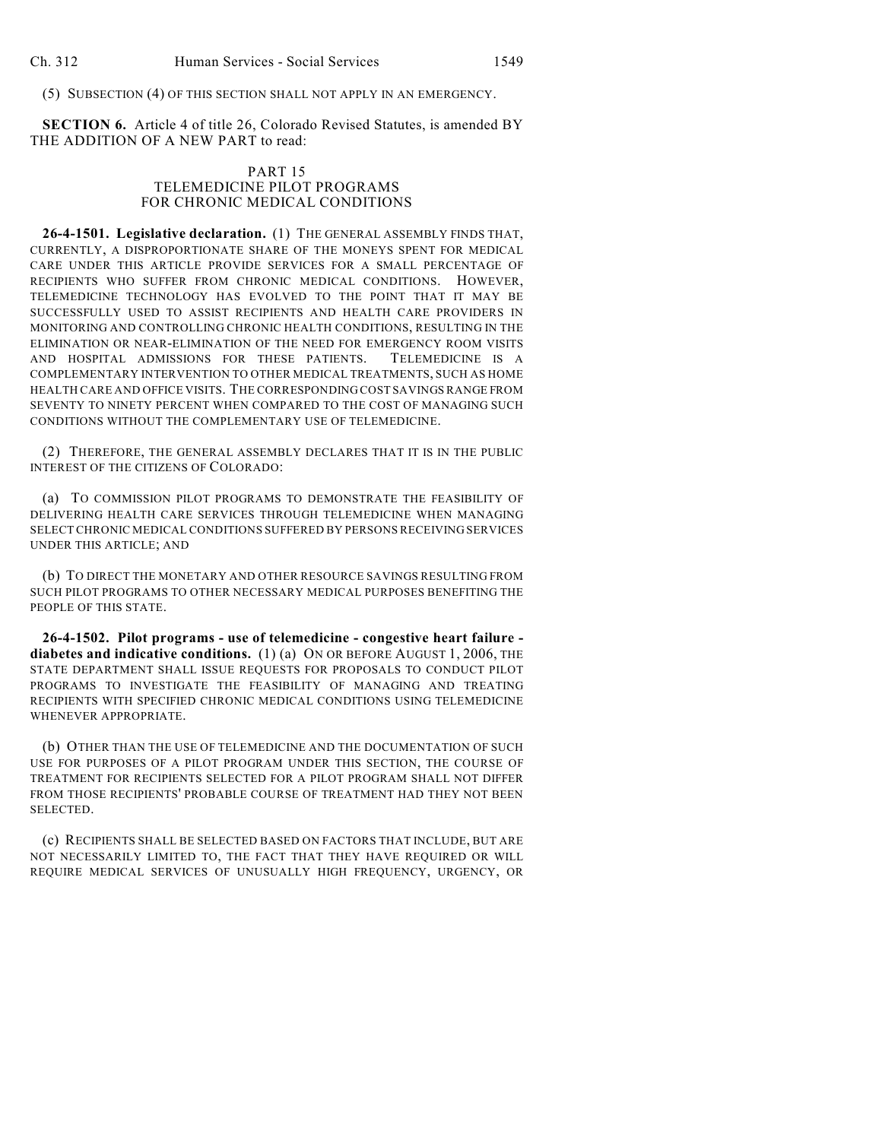(5) SUBSECTION (4) OF THIS SECTION SHALL NOT APPLY IN AN EMERGENCY.

**SECTION 6.** Article 4 of title 26, Colorado Revised Statutes, is amended BY THE ADDITION OF A NEW PART to read:

## PART 15 TELEMEDICINE PILOT PROGRAMS FOR CHRONIC MEDICAL CONDITIONS

**26-4-1501. Legislative declaration.** (1) THE GENERAL ASSEMBLY FINDS THAT, CURRENTLY, A DISPROPORTIONATE SHARE OF THE MONEYS SPENT FOR MEDICAL CARE UNDER THIS ARTICLE PROVIDE SERVICES FOR A SMALL PERCENTAGE OF RECIPIENTS WHO SUFFER FROM CHRONIC MEDICAL CONDITIONS. HOWEVER, TELEMEDICINE TECHNOLOGY HAS EVOLVED TO THE POINT THAT IT MAY BE SUCCESSFULLY USED TO ASSIST RECIPIENTS AND HEALTH CARE PROVIDERS IN MONITORING AND CONTROLLING CHRONIC HEALTH CONDITIONS, RESULTING IN THE ELIMINATION OR NEAR-ELIMINATION OF THE NEED FOR EMERGENCY ROOM VISITS AND HOSPITAL ADMISSIONS FOR THESE PATIENTS. TELEMEDICINE IS A COMPLEMENTARY INTERVENTION TO OTHER MEDICAL TREATMENTS, SUCH AS HOME HEALTH CARE AND OFFICE VISITS. THE CORRESPONDING COST SAVINGS RANGE FROM SEVENTY TO NINETY PERCENT WHEN COMPARED TO THE COST OF MANAGING SUCH CONDITIONS WITHOUT THE COMPLEMENTARY USE OF TELEMEDICINE.

(2) THEREFORE, THE GENERAL ASSEMBLY DECLARES THAT IT IS IN THE PUBLIC INTEREST OF THE CITIZENS OF COLORADO:

(a) TO COMMISSION PILOT PROGRAMS TO DEMONSTRATE THE FEASIBILITY OF DELIVERING HEALTH CARE SERVICES THROUGH TELEMEDICINE WHEN MANAGING SELECT CHRONIC MEDICAL CONDITIONS SUFFERED BY PERSONS RECEIVING SERVICES UNDER THIS ARTICLE; AND

(b) TO DIRECT THE MONETARY AND OTHER RESOURCE SAVINGS RESULTING FROM SUCH PILOT PROGRAMS TO OTHER NECESSARY MEDICAL PURPOSES BENEFITING THE PEOPLE OF THIS STATE.

**26-4-1502. Pilot programs - use of telemedicine - congestive heart failure diabetes and indicative conditions.** (1) (a) ON OR BEFORE AUGUST 1, 2006, THE STATE DEPARTMENT SHALL ISSUE REQUESTS FOR PROPOSALS TO CONDUCT PILOT PROGRAMS TO INVESTIGATE THE FEASIBILITY OF MANAGING AND TREATING RECIPIENTS WITH SPECIFIED CHRONIC MEDICAL CONDITIONS USING TELEMEDICINE WHENEVER APPROPRIATE.

(b) OTHER THAN THE USE OF TELEMEDICINE AND THE DOCUMENTATION OF SUCH USE FOR PURPOSES OF A PILOT PROGRAM UNDER THIS SECTION, THE COURSE OF TREATMENT FOR RECIPIENTS SELECTED FOR A PILOT PROGRAM SHALL NOT DIFFER FROM THOSE RECIPIENTS' PROBABLE COURSE OF TREATMENT HAD THEY NOT BEEN SELECTED.

(c) RECIPIENTS SHALL BE SELECTED BASED ON FACTORS THAT INCLUDE, BUT ARE NOT NECESSARILY LIMITED TO, THE FACT THAT THEY HAVE REQUIRED OR WILL REQUIRE MEDICAL SERVICES OF UNUSUALLY HIGH FREQUENCY, URGENCY, OR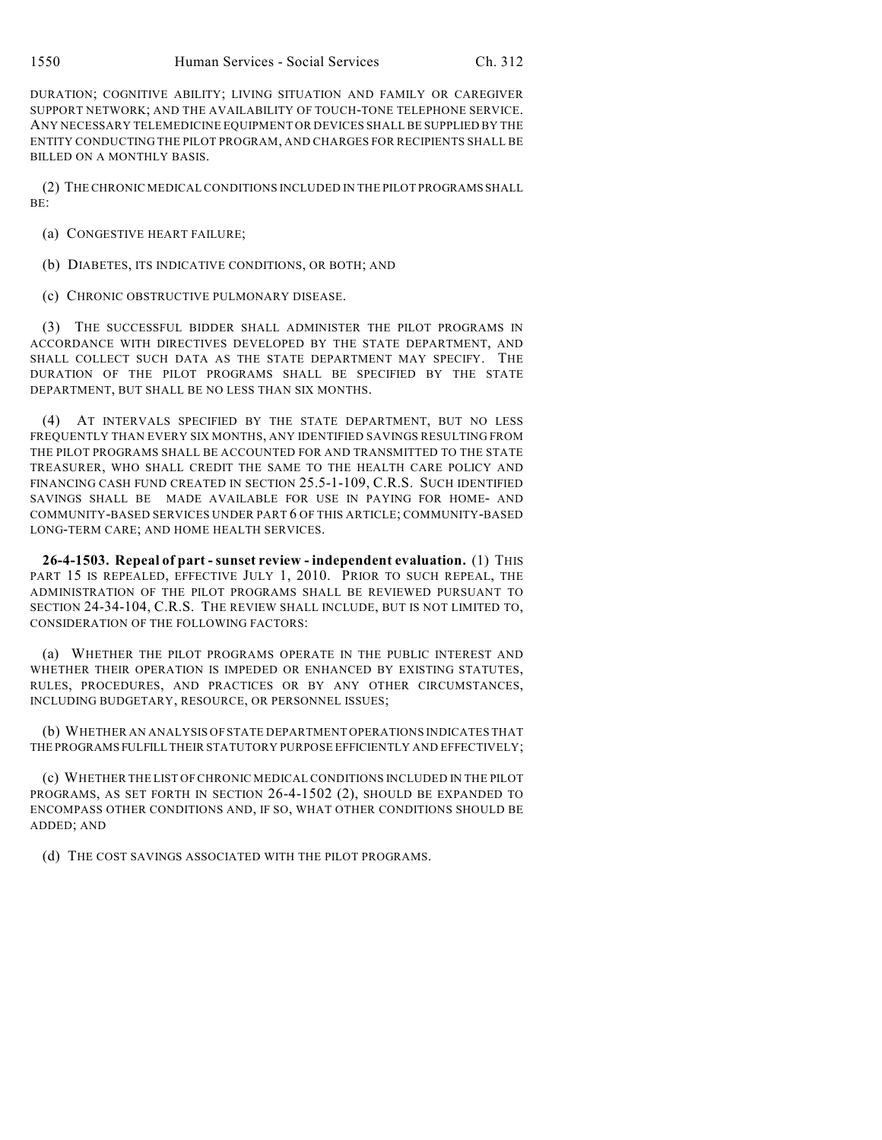DURATION; COGNITIVE ABILITY; LIVING SITUATION AND FAMILY OR CAREGIVER SUPPORT NETWORK; AND THE AVAILABILITY OF TOUCH-TONE TELEPHONE SERVICE. ANY NECESSARY TELEMEDICINE EQUIPMENT OR DEVICES SHALL BE SUPPLIED BY THE ENTITY CONDUCTING THE PILOT PROGRAM, AND CHARGES FOR RECIPIENTS SHALL BE BILLED ON A MONTHLY BASIS.

(2) THE CHRONIC MEDICAL CONDITIONS INCLUDED IN THE PILOT PROGRAMS SHALL BE:

(a) CONGESTIVE HEART FAILURE;

(b) DIABETES, ITS INDICATIVE CONDITIONS, OR BOTH; AND

(c) CHRONIC OBSTRUCTIVE PULMONARY DISEASE.

(3) THE SUCCESSFUL BIDDER SHALL ADMINISTER THE PILOT PROGRAMS IN ACCORDANCE WITH DIRECTIVES DEVELOPED BY THE STATE DEPARTMENT, AND SHALL COLLECT SUCH DATA AS THE STATE DEPARTMENT MAY SPECIFY. THE DURATION OF THE PILOT PROGRAMS SHALL BE SPECIFIED BY THE STATE DEPARTMENT, BUT SHALL BE NO LESS THAN SIX MONTHS.

(4) AT INTERVALS SPECIFIED BY THE STATE DEPARTMENT, BUT NO LESS FREQUENTLY THAN EVERY SIX MONTHS, ANY IDENTIFIED SAVINGS RESULTING FROM THE PILOT PROGRAMS SHALL BE ACCOUNTED FOR AND TRANSMITTED TO THE STATE TREASURER, WHO SHALL CREDIT THE SAME TO THE HEALTH CARE POLICY AND FINANCING CASH FUND CREATED IN SECTION 25.5-1-109, C.R.S. SUCH IDENTIFIED SAVINGS SHALL BE MADE AVAILABLE FOR USE IN PAYING FOR HOME- AND COMMUNITY-BASED SERVICES UNDER PART 6 OF THIS ARTICLE; COMMUNITY-BASED LONG-TERM CARE; AND HOME HEALTH SERVICES.

**26-4-1503. Repeal of part - sunset review - independent evaluation.** (1) THIS PART 15 IS REPEALED, EFFECTIVE JULY 1, 2010. PRIOR TO SUCH REPEAL, THE ADMINISTRATION OF THE PILOT PROGRAMS SHALL BE REVIEWED PURSUANT TO SECTION 24-34-104, C.R.S. THE REVIEW SHALL INCLUDE, BUT IS NOT LIMITED TO, CONSIDERATION OF THE FOLLOWING FACTORS:

(a) WHETHER THE PILOT PROGRAMS OPERATE IN THE PUBLIC INTEREST AND WHETHER THEIR OPERATION IS IMPEDED OR ENHANCED BY EXISTING STATUTES, RULES, PROCEDURES, AND PRACTICES OR BY ANY OTHER CIRCUMSTANCES, INCLUDING BUDGETARY, RESOURCE, OR PERSONNEL ISSUES;

(b) WHETHER AN ANALYSIS OF STATE DEPARTMENT OPERATIONS INDICATES THAT THE PROGRAMS FULFILL THEIR STATUTORY PURPOSE EFFICIENTLY AND EFFECTIVELY;

(c) WHETHER THE LIST OFCHRONIC MEDICAL CONDITIONS INCLUDED IN THE PILOT PROGRAMS, AS SET FORTH IN SECTION 26-4-1502 (2), SHOULD BE EXPANDED TO ENCOMPASS OTHER CONDITIONS AND, IF SO, WHAT OTHER CONDITIONS SHOULD BE ADDED; AND

(d) THE COST SAVINGS ASSOCIATED WITH THE PILOT PROGRAMS.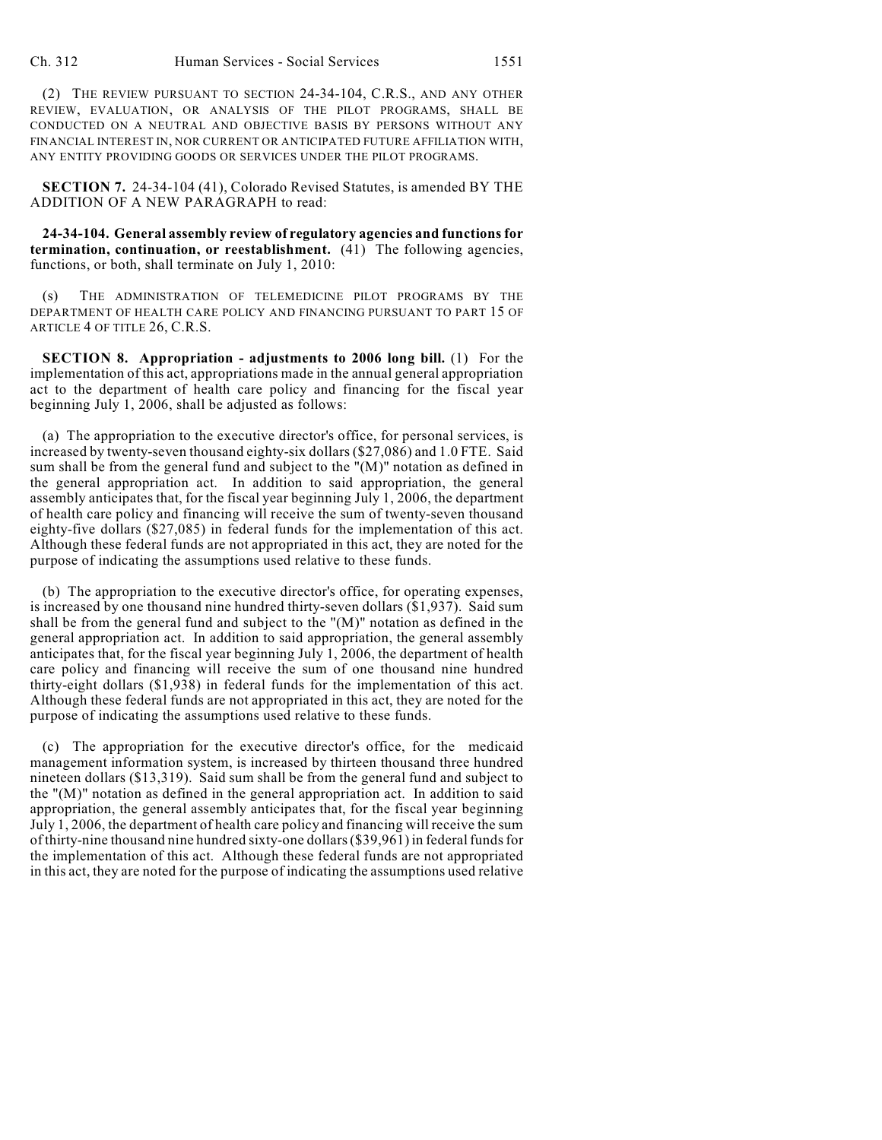(2) THE REVIEW PURSUANT TO SECTION 24-34-104, C.R.S., AND ANY OTHER REVIEW, EVALUATION, OR ANALYSIS OF THE PILOT PROGRAMS, SHALL BE CONDUCTED ON A NEUTRAL AND OBJECTIVE BASIS BY PERSONS WITHOUT ANY FINANCIAL INTEREST IN, NOR CURRENT OR ANTICIPATED FUTURE AFFILIATION WITH, ANY ENTITY PROVIDING GOODS OR SERVICES UNDER THE PILOT PROGRAMS.

**SECTION 7.** 24-34-104 (41), Colorado Revised Statutes, is amended BY THE ADDITION OF A NEW PARAGRAPH to read:

**24-34-104. General assembly review of regulatory agencies and functions for termination, continuation, or reestablishment.** (41) The following agencies, functions, or both, shall terminate on July 1, 2010:

(s) THE ADMINISTRATION OF TELEMEDICINE PILOT PROGRAMS BY THE DEPARTMENT OF HEALTH CARE POLICY AND FINANCING PURSUANT TO PART 15 OF ARTICLE 4 OF TITLE 26, C.R.S.

**SECTION 8. Appropriation - adjustments to 2006 long bill.** (1) For the implementation of this act, appropriations made in the annual general appropriation act to the department of health care policy and financing for the fiscal year beginning July 1, 2006, shall be adjusted as follows:

(a) The appropriation to the executive director's office, for personal services, is increased by twenty-seven thousand eighty-six dollars (\$27,086) and 1.0 FTE. Said sum shall be from the general fund and subject to the "(M)" notation as defined in the general appropriation act. In addition to said appropriation, the general assembly anticipates that, for the fiscal year beginning July 1, 2006, the department of health care policy and financing will receive the sum of twenty-seven thousand eighty-five dollars (\$27,085) in federal funds for the implementation of this act. Although these federal funds are not appropriated in this act, they are noted for the purpose of indicating the assumptions used relative to these funds.

(b) The appropriation to the executive director's office, for operating expenses, is increased by one thousand nine hundred thirty-seven dollars (\$1,937). Said sum shall be from the general fund and subject to the "(M)" notation as defined in the general appropriation act. In addition to said appropriation, the general assembly anticipates that, for the fiscal year beginning July 1, 2006, the department of health care policy and financing will receive the sum of one thousand nine hundred thirty-eight dollars (\$1,938) in federal funds for the implementation of this act. Although these federal funds are not appropriated in this act, they are noted for the purpose of indicating the assumptions used relative to these funds.

(c) The appropriation for the executive director's office, for the medicaid management information system, is increased by thirteen thousand three hundred nineteen dollars (\$13,319). Said sum shall be from the general fund and subject to the "(M)" notation as defined in the general appropriation act. In addition to said appropriation, the general assembly anticipates that, for the fiscal year beginning July 1, 2006, the department of health care policy and financing will receive the sum of thirty-nine thousand nine hundred sixty-one dollars (\$39,961) in federal funds for the implementation of this act. Although these federal funds are not appropriated in this act, they are noted for the purpose of indicating the assumptions used relative